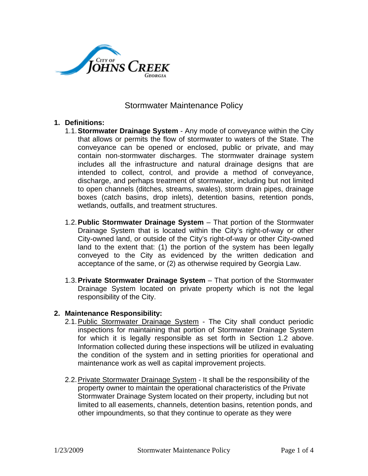

## Stormwater Maintenance Policy

### **1. Definitions:**

- 1.1. **Stormwater Drainage System** Any mode of conveyance within the City that allows or permits the flow of stormwater to waters of the State. The conveyance can be opened or enclosed, public or private, and may contain non-stormwater discharges. The stormwater drainage system includes all the infrastructure and natural drainage designs that are intended to collect, control, and provide a method of conveyance, discharge, and perhaps treatment of stormwater, including but not limited to open channels (ditches, streams, swales), storm drain pipes, drainage boxes (catch basins, drop inlets), detention basins, retention ponds, wetlands, outfalls, and treatment structures.
- 1.2. **Public Stormwater Drainage System** That portion of the Stormwater Drainage System that is located within the City's right-of-way or other City-owned land, or outside of the City's right-of-way or other City-owned land to the extent that: (1) the portion of the system has been legally conveyed to the City as evidenced by the written dedication and acceptance of the same, or (2) as otherwise required by Georgia Law.
- 1.3. **Private Stormwater Drainage System** That portion of the Stormwater Drainage System located on private property which is not the legal responsibility of the City.

### **2. Maintenance Responsibility:**

- 2.1. Public Stormwater Drainage System The City shall conduct periodic inspections for maintaining that portion of Stormwater Drainage System for which it is legally responsible as set forth in Section 1.2 above. Information collected during these inspections will be utilized in evaluating the condition of the system and in setting priorities for operational and maintenance work as well as capital improvement projects.
- 2.2. Private Stormwater Drainage System It shall be the responsibility of the property owner to maintain the operational characteristics of the Private Stormwater Drainage System located on their property, including but not limited to all easements, channels, detention basins, retention ponds, and other impoundments, so that they continue to operate as they were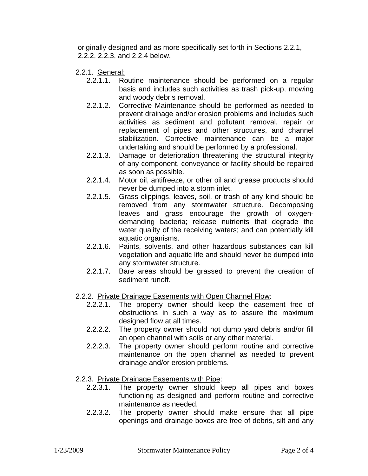originally designed and as more specifically set forth in Sections 2.2.1, 2.2.2, 2.2.3, and 2.2.4 below.

- 2.2.1. General:
	- 2.2.1.1. Routine maintenance should be performed on a regular basis and includes such activities as trash pick-up, mowing and woody debris removal.
	- 2.2.1.2. Corrective Maintenance should be performed as-needed to prevent drainage and/or erosion problems and includes such activities as sediment and pollutant removal, repair or replacement of pipes and other structures, and channel stabilization. Corrective maintenance can be a major undertaking and should be performed by a professional.
	- 2.2.1.3. Damage or deterioration threatening the structural integrity of any component, conveyance or facility should be repaired as soon as possible.
	- 2.2.1.4. Motor oil, antifreeze, or other oil and grease products should never be dumped into a storm inlet.
	- 2.2.1.5. Grass clippings, leaves, soil, or trash of any kind should be removed from any stormwater structure. Decomposing leaves and grass encourage the growth of oxygendemanding bacteria; release nutrients that degrade the water quality of the receiving waters; and can potentially kill aquatic organisms.
	- 2.2.1.6. Paints, solvents, and other hazardous substances can kill vegetation and aquatic life and should never be dumped into any stormwater structure.
	- 2.2.1.7. Bare areas should be grassed to prevent the creation of sediment runoff.

### 2.2.2. Private Drainage Easements with Open Channel Flow:

- 2.2.2.1. The property owner should keep the easement free of obstructions in such a way as to assure the maximum designed flow at all times.
- 2.2.2.2. The property owner should not dump yard debris and/or fill an open channel with soils or any other material.
- 2.2.2.3. The property owner should perform routine and corrective maintenance on the open channel as needed to prevent drainage and/or erosion problems.
- 2.2.3. Private Drainage Easements with Pipe:
	- 2.2.3.1. The property owner should keep all pipes and boxes functioning as designed and perform routine and corrective maintenance as needed.
	- 2.2.3.2. The property owner should make ensure that all pipe openings and drainage boxes are free of debris, silt and any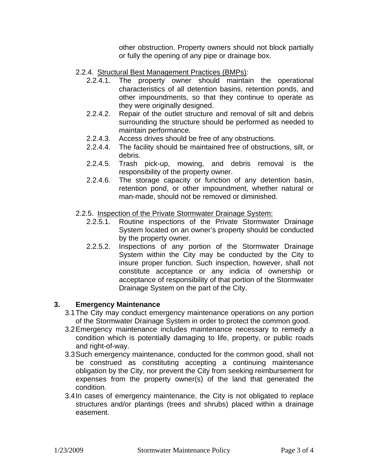other obstruction. Property owners should not block partially or fully the opening of any pipe or drainage box.

## 2.2.4. Structural Best Management Practices (BMPs):

- 2.2.4.1. The property owner should maintain the operational characteristics of all detention basins, retention ponds, and other impoundments, so that they continue to operate as they were originally designed.
- 2.2.4.2. Repair of the outlet structure and removal of silt and debris surrounding the structure should be performed as needed to maintain performance.
- 2.2.4.3. Access drives should be free of any obstructions.
- 2.2.4.4. The facility should be maintained free of obstructions, silt, or debris.
- 2.2.4.5. Trash pick-up, mowing, and debris removal is the responsibility of the property owner.
- 2.2.4.6. The storage capacity or function of any detention basin, retention pond, or other impoundment, whether natural or man-made, should not be removed or diminished.

## 2.2.5. Inspection of the Private Stormwater Drainage System:

- 2.2.5.1. Routine inspections of the Private Stormwater Drainage System located on an owner's property should be conducted by the property owner.
- 2.2.5.2. Inspections of any portion of the Stormwater Drainage System within the City may be conducted by the City to insure proper function. Such inspection, however, shall not constitute acceptance or any indicia of ownership or acceptance of responsibility of that portion of the Stormwater Drainage System on the part of the City.

# **3. Emergency Maintenance**

- 3.1 The City may conduct emergency maintenance operations on any portion of the Stormwater Drainage System in order to protect the common good.
- 3.2 Emergency maintenance includes maintenance necessary to remedy a condition which is potentially damaging to life, property, or public roads and right-of-way.
- 3.3 Such emergency maintenance, conducted for the common good, shall not be construed as constituting accepting a continuing maintenance obligation by the City, nor prevent the City from seeking reimbursement for expenses from the property owner(s) of the land that generated the condition.
- 3.4 In cases of emergency maintenance, the City is not obligated to replace structures and/or plantings (trees and shrubs) placed within a drainage easement.